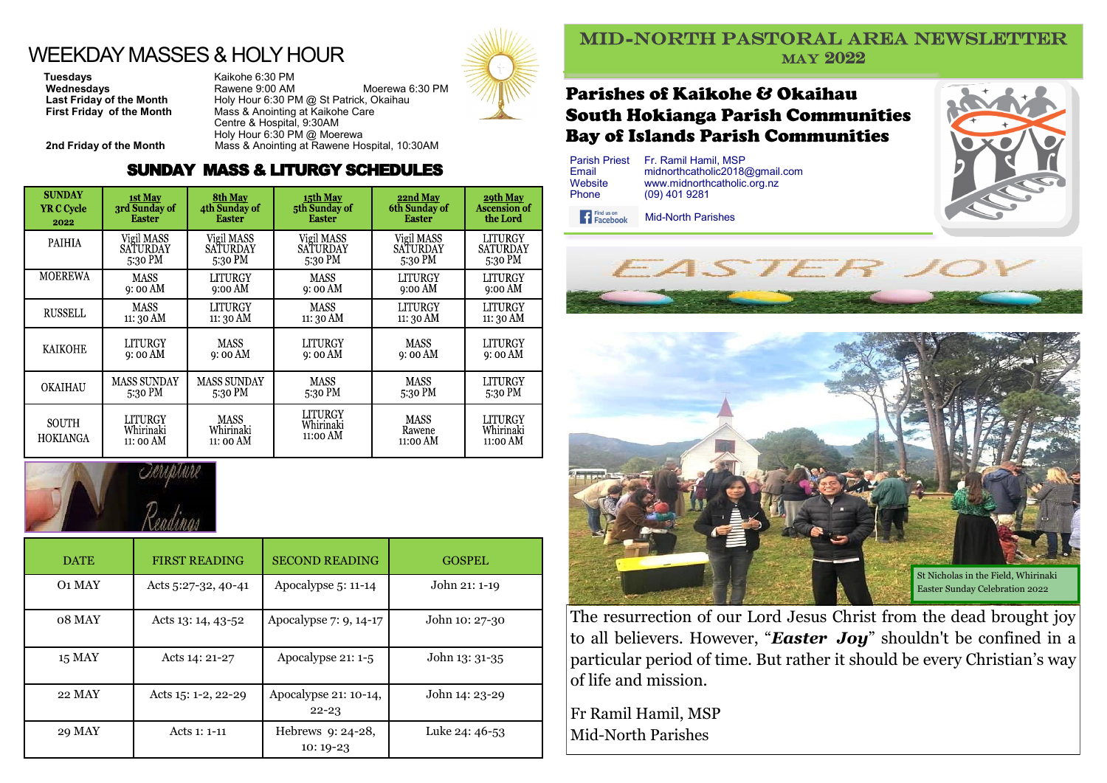# WEEKDAY MASSES & HOLY HOUR

**Tuesdays**<br> **Wednesdays**<br> **CALC BE Rawene 9:00 AM** 

**Wednesdays Rawene 9:00 AM Moerewa 6:30 PM**<br> **Last Friday of the Month** Holy Hour 6:30 PM @ St Patrick, Okaihau **Last Friday of the Month** Holy Hour 6:30 PM @ St Patrick, Okaihau<br>**First Friday of the Month** Mass & Anointing at Kaikohe Care **First Friday of the Month** Mass & Anointing at Kaikohe Care Centre & Hospital, 9:30AM Holy Hour 6:30 PM @ Moerewa **2nd Friday of the Month** Mass & Anointing at Rawene Hospital, 10:30AM

#### SUNDAY MASS & LITURGY SCHEDULES

| <b>SUNDAY</b>            | <b>1st May</b>                    | <b>8th May</b>                        | 15th May                         | 22nd May                          | 29th May                         |
|--------------------------|-----------------------------------|---------------------------------------|----------------------------------|-----------------------------------|----------------------------------|
| <b>YR C Cycle</b>        | 3rd Sunday of                     | 4th Sunday of                         | 5th Sunday of                    | 6th Sunday of                     | <b>Ascension of</b>              |
| 2022                     | <b>Easter</b>                     | <b>Easter</b>                         | <b>Easter</b>                    | <b>Easter</b>                     | the Lord                         |
| <b>PAIHIA</b>            | Vigil MASS                        | Vigil MASS                            | Vigil MASS                       | Vigil MASS                        | LITURGY                          |
|                          | <b>SATURDAY</b>                   | SATURDAY                              | SATURDAY                         | SATURDAY                          | SATURDAY                         |
|                          | 5:30 PM                           | 5:30 PM                               | 5:30 PM                          | 5:30 PM                           | 5:30 PM                          |
| MOEREWA                  | MASS                              | LITURGY                               | MASS                             | LITURGY                           | LITURGY                          |
|                          | 9:00 AM                           | $9:00$ AM                             | 9:00 AM                          | $9:00 \text{ AM}$                 | $9:00 \text{ AM}$                |
| <b>RUSSELL</b>           | MASS                              | LITURGY                               | MASS                             | LITURGY                           | LITURGY                          |
|                          | 11: 30 AM                         | $11:30 \text{ AM}$                    | 11: 30 AM                        | 11: 30 AM                         | 11: 30 AM                        |
| <b>KAIKOHE</b>           | LITURGY                           | <b>MASS</b>                           | LITURGY                          | <b>MASS</b>                       | LITURGY                          |
|                          | 9:00 AM                           | 9:00 AM                               | 9: 00 AM                         | 9:00 AM                           | 9:00 AM                          |
| <b>OKAIHAU</b>           | <b>MASS SUNDAY</b>                | <b>MASS SUNDAY</b>                    | MASS                             | <b>MASS</b>                       | <b>LITURGY</b>                   |
|                          | 5:30 PM                           | 5:30 PM                               | 5:30 PM                          | 5:30 PM                           | 5:30 PM                          |
| <b>SOUTH</b><br>HOKIANGA | LITURGY<br>Whirinaki<br>11: 00 AM | <b>MASS</b><br>Whirinaki<br>11: 00 AM | LITURGY<br>Whirinaki<br>11:00 AM | <b>MASS</b><br>Rawene<br>11:00 AM | LITURGY<br>Whirinaki<br>11:00 AM |



| <b>DATE</b>   | <b>FIRST READING</b> | <b>SECOND READING</b>              | <b>GOSPEL</b>  |
|---------------|----------------------|------------------------------------|----------------|
| <b>O1 MAY</b> | Acts 5:27-32, 40-41  | Apocalypse 5: 11-14                | John 21: 1-19  |
| 08 MAY        | Acts 13: 14, 43-52   | Apocalypse 7: 9, 14-17             | John 10: 27-30 |
| <b>15 MAY</b> | Acts 14: 21-27       | Apocalypse 21: 1-5                 | John 13: 31-35 |
| 22 MAY        | Acts 15: 1-2, 22-29  | Apocalypse 21: 10-14,<br>$22 - 23$ | John 14: 23-29 |
| 29 MAY        | Acts 1: 1-11         | Hebrews 9: 24-28,<br>$10:19-23$    | Luke 24: 46-53 |



#### MID-NORTH PASTORAL AREA NEWSLETTER MAY 2022

### Parishes of Kaikohe & Okaihau South Hokianga Parish Communities Bay of Islands Parish Communities

| <b>Parish Priest</b> | Fr. Ramil Hamil, MSP           |
|----------------------|--------------------------------|
| Email                | midnorthcatholic2018@gmail.com |
| Website              | www.midnorthcatholic.org.nz    |
| Phone                | $(09)$ 401 9281                |

Find us on Mid-North Parishes







The resurrection of our Lord Jesus Christ from the dead brought joy to all believers. However, "*Easter Joy*" shouldn't be confined in a particular period of time. But rather it should be every Christian's way of life and mission.

Fr Ramil Hamil, MSP Mid-North Parishes